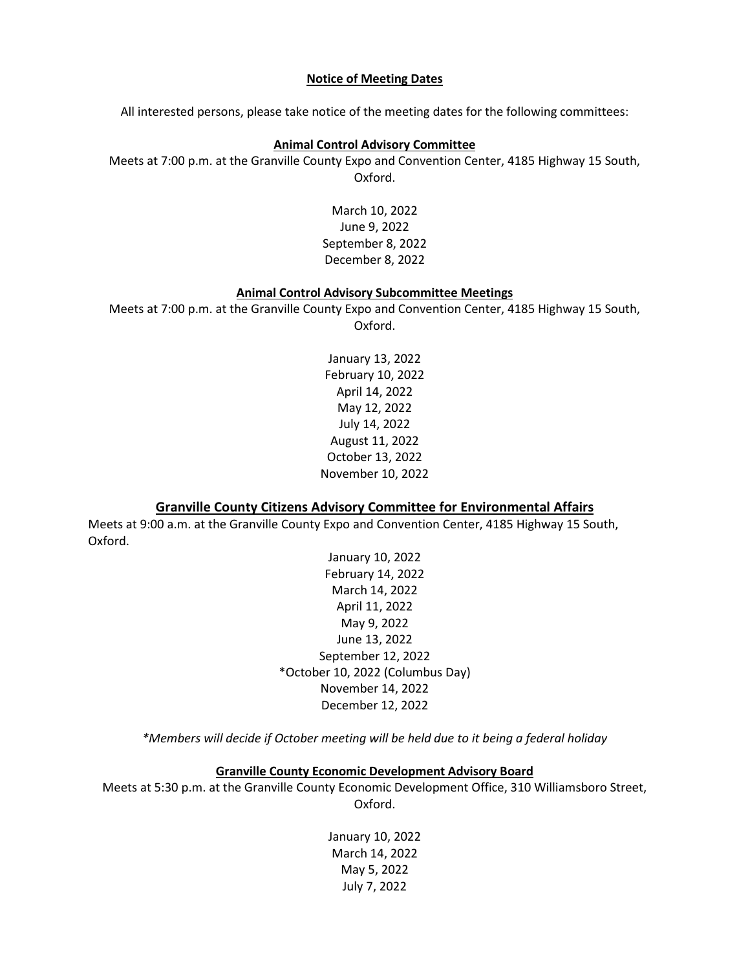## **Notice of Meeting Dates**

All interested persons, please take notice of the meeting dates for the following committees:

## **Animal Control Advisory Committee**

Meets at 7:00 p.m. at the Granville County Expo and Convention Center, 4185 Highway 15 South, Oxford.

> March 10, 2022 June 9, 2022 September 8, 2022 December 8, 2022

### **Animal Control Advisory Subcommittee Meetings**

Meets at 7:00 p.m. at the Granville County Expo and Convention Center, 4185 Highway 15 South, Oxford.

> January 13, 2022 February 10, 2022 April 14, 2022 May 12, 2022 July 14, 2022 August 11, 2022 October 13, 2022 November 10, 2022

### **Granville County Citizens Advisory Committee for Environmental Affairs**

Meets at 9:00 a.m. at the Granville County Expo and Convention Center, 4185 Highway 15 South, Oxford.

> January 10, 2022 February 14, 2022 March 14, 2022 April 11, 2022 May 9, 2022 June 13, 2022 September 12, 2022 \*October 10, 2022 (Columbus Day) November 14, 2022 December 12, 2022

*\*Members will decide if October meeting will be held due to it being a federal holiday*

## **Granville County Economic Development Advisory Board**

Meets at 5:30 p.m. at the Granville County Economic Development Office, 310 Williamsboro Street, Oxford.

> January 10, 2022 March 14, 2022 May 5, 2022 July 7, 2022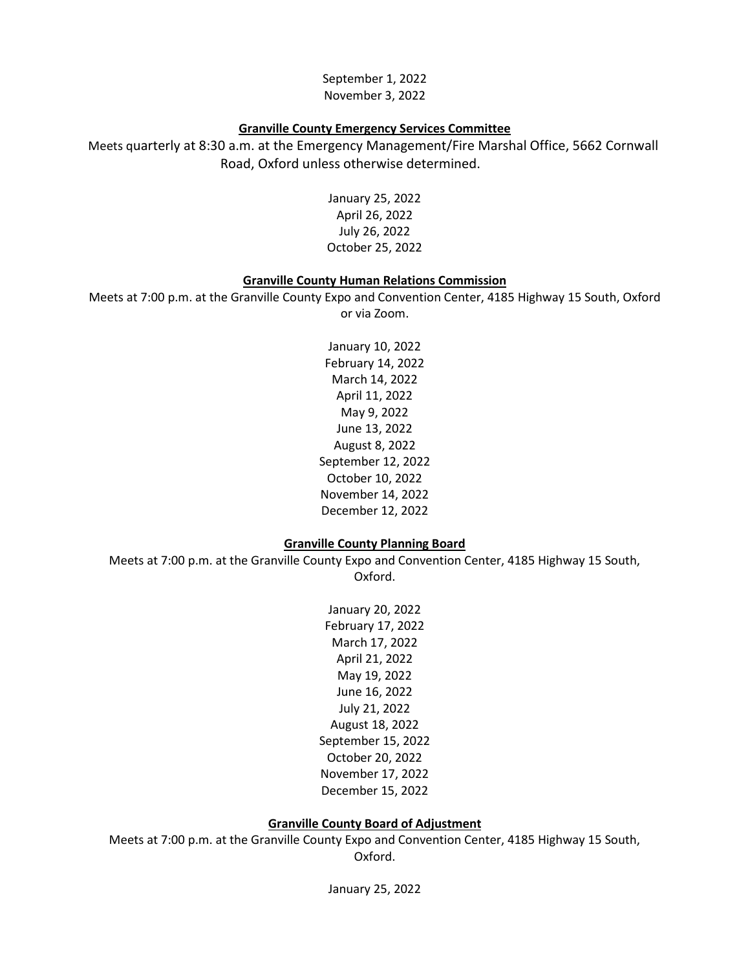September 1, 2022 November 3, 2022

#### **Granville County Emergency Services Committee**

Meets quarterly at 8:30 a.m. at the Emergency Management/Fire Marshal Office, 5662 Cornwall Road, Oxford unless otherwise determined.

> January 25, 2022 April 26, 2022 July 26, 2022 October 25, 2022

### **Granville County Human Relations Commission**

Meets at 7:00 p.m. at the Granville County Expo and Convention Center, 4185 Highway 15 South, Oxford or via Zoom.

> January 10, 2022 February 14, 2022 March 14, 2022 April 11, 2022 May 9, 2022 June 13, 2022 August 8, 2022 September 12, 2022 October 10, 2022 November 14, 2022 December 12, 2022

### **Granville County Planning Board**

Meets at 7:00 p.m. at the Granville County Expo and Convention Center, 4185 Highway 15 South, Oxford.

> January 20, 2022 February 17, 2022 March 17, 2022 April 21, 2022 May 19, 2022 June 16, 2022 July 21, 2022 August 18, 2022 September 15, 2022 October 20, 2022 November 17, 2022 December 15, 2022

### **Granville County Board of Adjustment**

Meets at 7:00 p.m. at the Granville County Expo and Convention Center, 4185 Highway 15 South, Oxford.

January 25, 2022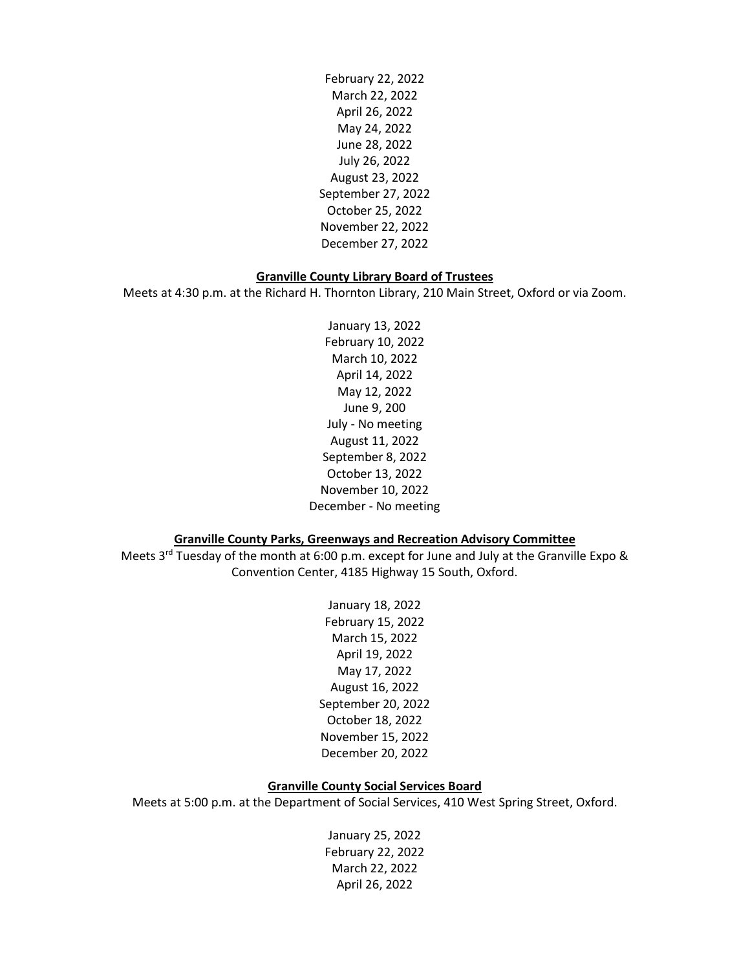February 22, 2022 March 22, 2022 April 26, 2022 May 24, 2022 June 28, 2022 July 26, 2022 August 23, 2022 September 27, 2022 October 25, 2022 November 22, 2022 December 27, 2022

### **Granville County Library Board of Trustees**

Meets at 4:30 p.m. at the Richard H. Thornton Library, 210 Main Street, Oxford or via Zoom.

January 13, 2022 February 10, 2022 March 10, 2022 April 14, 2022 May 12, 2022 June 9, 200 July - No meeting August 11, 2022 September 8, 2022 October 13, 2022 November 10, 2022 December - No meeting

## **Granville County Parks, Greenways and Recreation Advisory Committee**

Meets  $3^{rd}$  Tuesday of the month at 6:00 p.m. except for June and July at the Granville Expo & Convention Center, 4185 Highway 15 South, Oxford.

> January 18, 2022 February 15, 2022 March 15, 2022 April 19, 2022 May 17, 2022 August 16, 2022 September 20, 2022 October 18, 2022 November 15, 2022 December 20, 2022

## **Granville County Social Services Board**

Meets at 5:00 p.m. at the Department of Social Services, 410 West Spring Street, Oxford.

January 25, 2022 February 22, 2022 March 22, 2022 April 26, 2022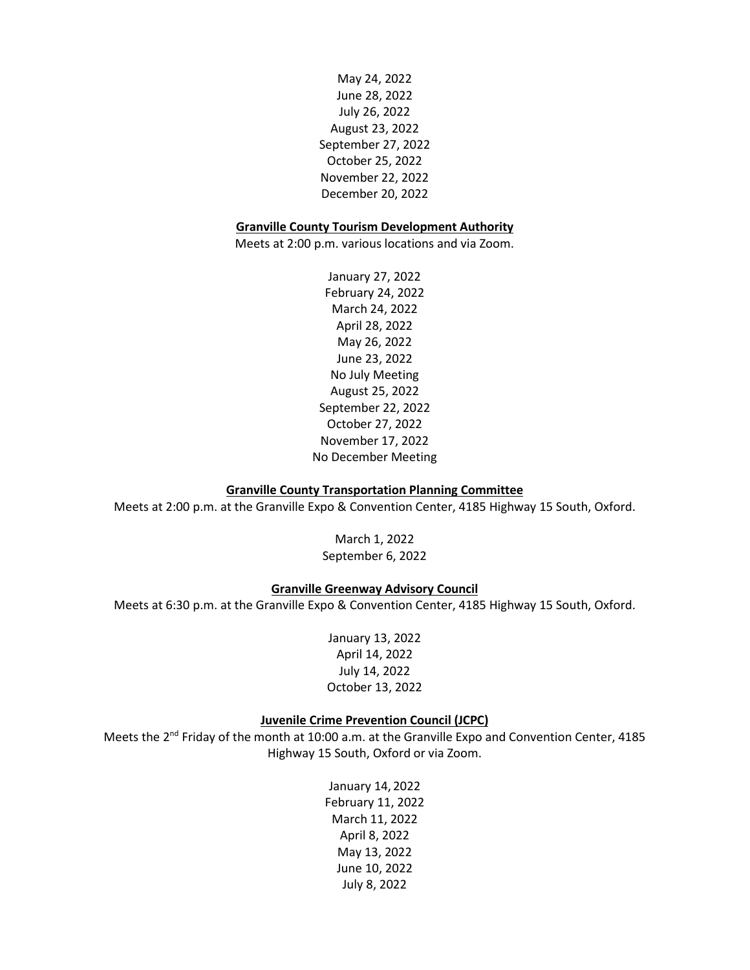May 24, 2022 June 28, 2022 July 26, 2022 August 23, 2022 September 27, 2022 October 25, 2022 November 22, 2022 December 20, 2022

#### **Granville County Tourism Development Authority**

Meets at 2:00 p.m. various locations and via Zoom.

January 27, 2022 February 24, 2022 March 24, 2022 April 28, 2022 May 26, 2022 June 23, 2022 No July Meeting August 25, 2022 September 22, 2022 October 27, 2022 November 17, 2022 No December Meeting

### **Granville County Transportation Planning Committee**

Meets at 2:00 p.m. at the Granville Expo & Convention Center, 4185 Highway 15 South, Oxford.

March 1, 2022 September 6, 2022

## **Granville Greenway Advisory Council**

Meets at 6:30 p.m. at the Granville Expo & Convention Center, 4185 Highway 15 South, Oxford.

January 13, 2022 April 14, 2022 July 14, 2022 October 13, 2022

### **Juvenile Crime Prevention Council (JCPC)**

Meets the 2<sup>nd</sup> Friday of the month at 10:00 a.m. at the Granville Expo and Convention Center, 4185 Highway 15 South, Oxford or via Zoom.

> January 14, 2022 February 11, 2022 March 11, 2022 April 8, 2022 May 13, 2022 June 10, 2022 July 8, 2022